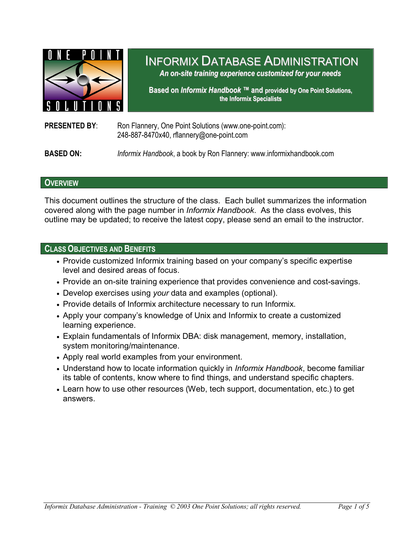

# INFORMIX DATABASE ADMINISTRATION

*An on-site training experience customized for your needs*

**Based on** *Informix Handbook ™* **and provided by One Point Solutions, the Informix Specialists**

### **PRESENTED BY:** Ron Flannery, One Point Solutions (www.one-point.com): 248-887-8470x40, rflannery@one-point.com

**BASED ON:** *Informix Handbook*, a book by Ron Flannery: www.informixhandbook.com

### **OVERVIEW**

This document outlines the structure of the class. Each bullet summarizes the information covered along with the page number in *Informix Handbook*. As the class evolves, this outline may be updated; to receive the latest copy, please send an email to the instructor.

#### **CLASS OBJECTIVES AND BENEFITS**

- Provide customized Informix training based on your company's specific expertise level and desired areas of focus.
- Provide an on-site training experience that provides convenience and cost-savings.
- Develop exercises using *your* data and examples (optional).
- Provide details of Informix architecture necessary to run Informix.
- Apply your company's knowledge of Unix and Informix to create a customized learning experience.
- Explain fundamentals of Informix DBA: disk management, memory, installation, system monitoring/maintenance.
- Apply real world examples from your environment.
- Understand how to locate information quickly in *Informix Handbook*, become familiar its table of contents, know where to find things, and understand specific chapters.
- Learn how to use other resources (Web, tech support, documentation, etc.) to get answers.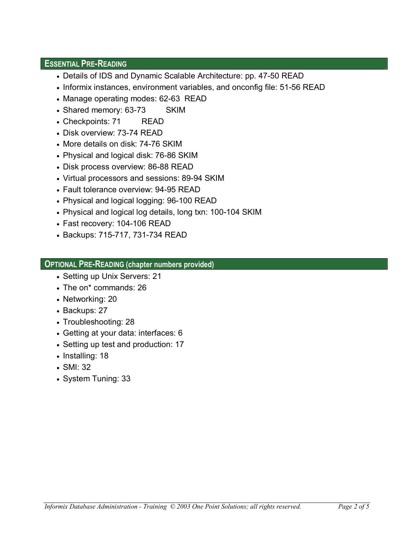### **ESSENTIAL PRE-READING**

- Details of IDS and Dynamic Scalable Architecture: pp. 47-50 READ
- Informix instances, environment variables, and onconfig file: 51-56 READ
- Manage operating modes: 62-63 READ
- Shared memory: 63-73 SKIM
- Checkpoints: 71 READ
- Disk overview: 73-74 READ
- More details on disk: 74-76 SKIM
- Physical and logical disk: 76-86 SKIM
- Disk process overview: 86-88 READ
- Virtual processors and sessions: 89-94 SKIM
- Fault tolerance overview: 94-95 READ
- Physical and logical logging: 96-100 READ
- Physical and logical log details, long txn: 100-104 SKIM
- Fast recovery: 104-106 READ
- Backups: 715-717, 731-734 READ

# **OPTIONAL PRE-READING (chapter numbers provided)**

- Setting up Unix Servers: 21
- The on\* commands: 26
- Networking: 20
- Backups: 27
- Troubleshooting: 28
- Getting at your data: interfaces: 6
- Setting up test and production: 17
- Installing: 18
- SMI: 32
- System Tuning: 33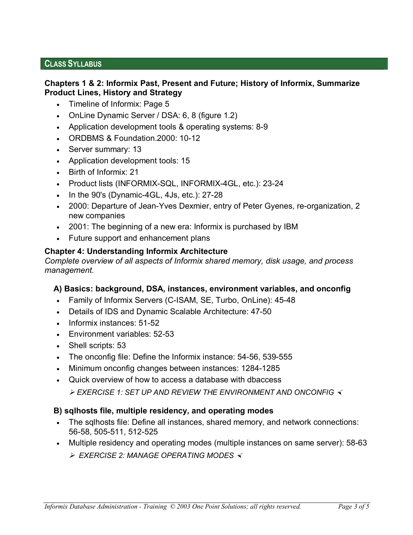# **CLASS SYLLABUS**

### **Chapters 1 & 2: Informix Past, Present and Future; History of Informix, Summarize Product Lines, History and Strategy**

- Timeline of Informix: Page 5
- OnLine Dynamic Server / DSA: 6, 8 (figure 1.2)
- Application development tools & operating systems: 8-9
- ORDBMS & Foundation.2000: 10-12
- Server summary: 13
- Application development tools: 15
- Birth of Informix: 21
- Product lists (INFORMIX-SQL, INFORMIX-4GL, etc.): 23-24
- In the 90's (Dynamic-4GL, 4Js, etc.): 27-28
- 2000: Departure of Jean-Yves Dexmier, entry of Peter Gyenes, re-organization, 2 new companies
- 2001: The beginning of a new era: Informix is purchased by IBM
- Future support and enhancement plans

# **Chapter 4: Understanding Informix Architecture**

*Complete overview of all aspects of Informix shared memory, disk usage, and process management.* 

# **A) Basics: background, DSA, instances, environment variables, and onconfig**

- Family of Informix Servers (C-ISAM, SE, Turbo, OnLine): 45-48
- Details of IDS and Dynamic Scalable Architecture: 47-50
- Informix instances: 51-52
- Environment variables: 52-53
- Shell scripts: 53
- The onconfig file: Define the Informix instance: 54-56, 539-555
- Minimum onconfig changes between instances: 1284-1285
- Quick overview of how to access a database with dbaccess

¾ *EXERCISE 1: SET UP AND REVIEW THE ENVIRONMENT AND ONCONFIG* 

# **B) sqlhosts file, multiple residency, and operating modes**

- The sqlhosts file: Define all instances, shared memory, and network connections: 56-58, 505-511, 512-525
- Multiple residency and operating modes (multiple instances on same server): 58-63
	- ¾ *EXERCISE 2: MANAGE OPERATING MODES*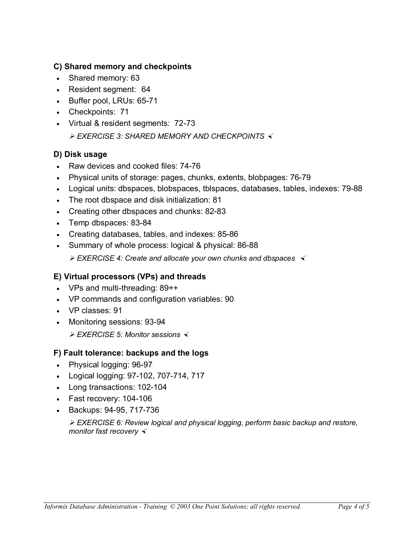# **C) Shared memory and checkpoints**

- Shared memory: 63
- Resident segment: 64
- Buffer pool, LRUs: 65-71
- Checkpoints: 71
- Virtual & resident segments: 72-73
	- ¾ *EXERCISE 3: SHARED MEMORY AND CHECKPOINTS*

# **D) Disk usage**

- Raw devices and cooked files: 74-76
- Physical units of storage: pages, chunks, extents, blobpages: 76-79
- Logical units: dbspaces, blobspaces, tblspaces, databases, tables, indexes: 79-88
- The root dbspace and disk initialization: 81
- Creating other dbspaces and chunks: 82-83
- Temp dbspaces: 83-84
- Creating databases, tables, and indexes: 85-86
- Summary of whole process: logical & physical: 86-88

¾ *EXERCISE 4: Create and allocate your own chunks and dbspaces* 

# **E) Virtual processors (VPs) and threads**

- VPs and multi-threading: 89++
- VP commands and configuration variables: 90
- VP classes: 91
- Monitoring sessions: 93-94

¾ *EXERCISE 5: Monitor sessions* 

# **F) Fault tolerance: backups and the logs**

- Physical logging: 96-97
- Logical logging: 97-102, 707-714, 717
- Long transactions: 102-104
- Fast recovery: 104-106
- Backups: 94-95, 717-736

¾ *EXERCISE 6: Review logical and physical logging, perform basic backup and restore, monitor fast recovery*